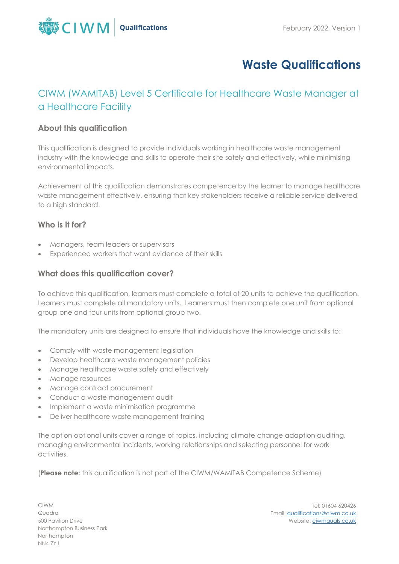

# **Waste Qualifications**

# CIWM (WAMITAB) Level 5 Certificate for Healthcare Waste Manager at a Healthcare Facility

# **About this qualification**

This qualification is designed to provide individuals working in healthcare waste management industry with the knowledge and skills to operate their site safely and effectively, while minimising environmental impacts.

Achievement of this qualification demonstrates competence by the learner to manage healthcare waste management effectively, ensuring that key stakeholders receive a reliable service delivered to a high standard.

# **Who is it for?**

- Managers, team leaders or supervisors
- Experienced workers that want evidence of their skills

# **What does this qualification cover?**

To achieve this qualification, learners must complete a total of 20 units to achieve the qualification. Learners must complete all mandatory units. Learners must then complete one unit from optional group one and four units from optional group two.

The mandatory units are designed to ensure that individuals have the knowledge and skills to:

- Comply with waste management legislation
- Develop healthcare waste management policies
- Manage healthcare waste safely and effectively
- Manage resources
- Manage contract procurement
- Conduct a waste management audit
- Implement a waste minimisation programme
- Deliver healthcare waste management training

The option optional units cover a range of topics, including climate change adaption auditing, managing environmental incidents, working relationships and selecting personnel for work activities.

(**Please note:** this qualification is not part of the CIWM/WAMITAB Competence Scheme)

CIWM Quadra 500 Pavilion Drive Northampton Business Park Northampton NN4 7YJ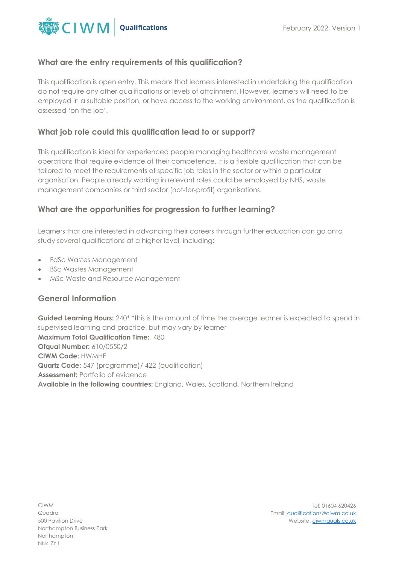

#### **What are the entry requirements of this qualification?**

This qualification is open entry. This means that learners interested in undertaking the qualification do not require any other qualifications or levels of attainment. However, learners will need to be employed in a suitable position, or have access to the working environment, as the qualification is assessed 'on the job'.

# **What job role could this qualification lead to or support?**

This qualification is ideal for experienced people managing healthcare waste management operations that require evidence of their competence. It is a flexible qualification that can be tailored to meet the requirements of specific job roles in the sector or within a particular organisation. People already working in relevant roles could be employed by NHS, waste management companies or third sector (not-for-profit) organisations.

#### **What are the opportunities for progression to further learning?**

Learners that are interested in advancing their careers through further education can go onto study several qualifications at a higher level, including:

- FdSc Wastes Management
- BSc Wastes Management
- MSc Waste and Resource Management

#### **General Information**

Guided Learning Hours: 240<sup>\*</sup> \*this is the amount of time the average learner is expected to spend in supervised learning and practice, but may vary by learner **Maximum Total Qualification Time:** 480 **Ofqual Number:** 610/0550/2 **CIWM Code:** HWMHF **Quartz Code:** 547 (programme)/ 422 (qualification) **Assessment:** Portfolio of evidence **Available in the following countries:** England, Wales, Scotland, Northern Ireland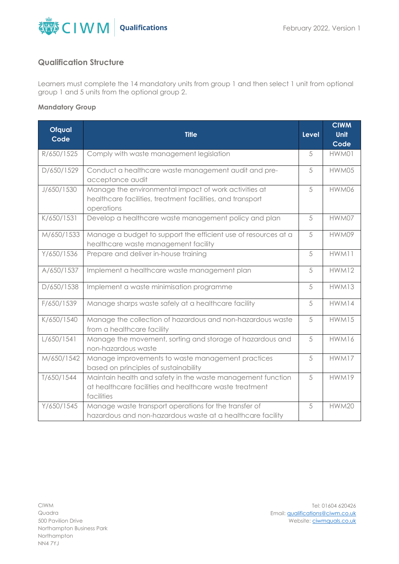

# **Qualification Structure**

Learners must complete the 14 mandatory units from group 1 and then select 1 unit from optional group 1 and 5 units from the optional group 2.

#### **Mandatory Group**

| <b>Ofqual</b> | <b>Title</b>                                                                                                                         | <b>Level</b> | <b>CIWM</b><br><b>Unit</b> |
|---------------|--------------------------------------------------------------------------------------------------------------------------------------|--------------|----------------------------|
| Code          |                                                                                                                                      |              | Code                       |
| R/650/1525    | Comply with waste management legislation                                                                                             | 5            | HWM01                      |
| D/650/1529    | Conduct a healthcare waste management audit and pre-<br>acceptance audit                                                             | 5            | HWM05                      |
| J/650/1530    | Manage the environmental impact of work activities at<br>healthcare facilities, treatment facilities, and transport<br>operations    | 5            | HWM06                      |
| K/650/1531    | Develop a healthcare waste management policy and plan                                                                                | 5            | HWM07                      |
| M/650/1533    | Manage a budget to support the efficient use of resources at a<br>healthcare waste management facility                               | 5            | HWM09                      |
| Y/650/1536    | Prepare and deliver in-house training                                                                                                | 5            | HWM11                      |
| A/650/1537    | Implement a healthcare waste management plan                                                                                         | 5            | HWM12                      |
| D/650/1538    | Implement a waste minimisation programme                                                                                             | 5            | HWM13                      |
| F/650/1539    | Manage sharps waste safely at a healthcare facility                                                                                  | 5            | HWM14                      |
| K/650/1540    | Manage the collection of hazardous and non-hazardous waste<br>from a healthcare facility                                             | 5            | <b>HWM15</b>               |
| L/650/1541    | Manage the movement, sorting and storage of hazardous and<br>non-hazardous waste                                                     | 5            | HWM16                      |
| M/650/1542    | Manage improvements to waste management practices<br>based on principles of sustainability                                           | 5            | HWM17                      |
| T/650/1544    | Maintain health and safety in the waste management function<br>at healthcare facilities and healthcare waste treatment<br>facilities | 5            | HWM19                      |
| Y/650/1545    | Manage waste transport operations for the transfer of<br>hazardous and non-hazardous waste at a healthcare facility                  | 5            | <b>HWM20</b>               |